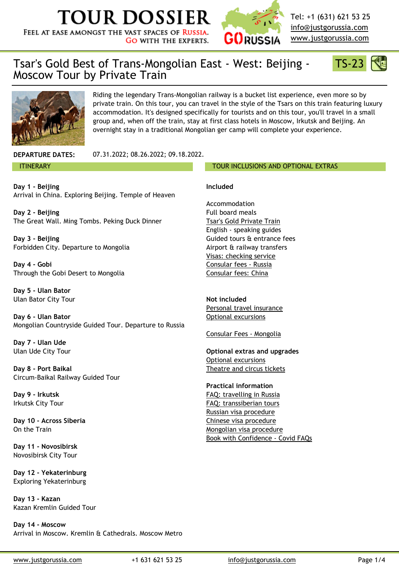**Day 1 - Beijing** A[rrival in China. Exploring Beijing. Temple of Heaven](http://www.justgorussia.com/us)

**Day 2 - Beijing** The Great Wall. Ming Tombs. Peking Duck Dinner

**Day 3 - Beijing** Forbidden City. Departure to Mongolia

**Day 4 - Gobi** Through the Gobi Desert to Mongolia

**Day 5 - Ulan Bator** Ulan Bator City Tour

**Day 6 - Ulan Bator** Mongolian Countryside Guided Tour. Departure to Russia

**Day 7 - Ulan Ude** Ulan Ude City Tour

**Day 8 - Port Baikal** Circum-Baikal Railway Guided Tour

**Day 9 - Irkutsk** Irkutsk City Tour

**Day 10 - Across Siberia** On the Train

**Day 11 - Novosibirsk** Novosibirsk City Tour

**Day 12 - Yekaterinburg** Exploring Yekaterinburg

**Day 13 - Kazan** Kazan Kremlin Guided Tour

**Day 14 - Moscow** Arrival in Moscow. Kremlin & Cathedrals. Moscow Metro

#### **Included**

Accommodation Full board meals Tsar's Gold Private Train English - speaking guides Guided tours & entrance fees Airport & railway transfers Visas: checking service Consular fees - Russia Consular fees: China

**Not included** Personal travel insurance Optional excursions

Consular Fees - Mongolia

**Optional extras and upgrade** Optional excursions Theatre and circus tickets

**Practical information** FAQ: travelling in Russia FAQ: transsiberian tours [Russian visa procedure](https://www.justgorussia.com/us/private-train-compartments.html) Chinese visa procedure Mongolian visa procedure [Book with Confidence -](https://www.justgorussia.com/us/visa_services.html) Covid

www.justgorussia.com +1 631 621 53 25 [info@justgorussia.c](https://www.justgorussia.com/us/playbill.html)om Page 1/4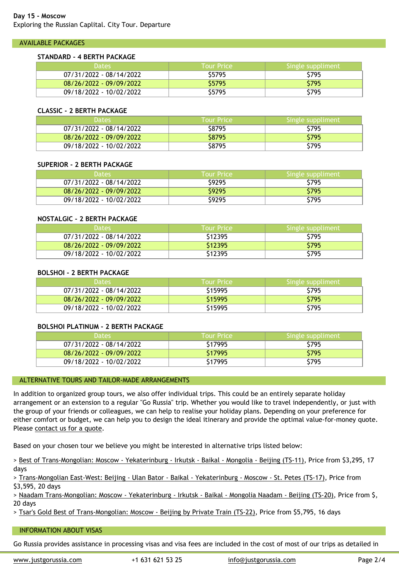| 08/26/2022 - 09/09/2022 | \$9295 |  |
|-------------------------|--------|--|
| 09/18/2022 - 10/02/2022 | \$9295 |  |

### **NOSTALGIC - 2 BERTH PACKAGE**

| <b>Dates</b>            | <b>Tour Price</b> |  |
|-------------------------|-------------------|--|
| 07/31/2022 - 08/14/2022 | \$12395           |  |
| 08/26/2022 - 09/09/2022 | S12395            |  |
| 09/18/2022 - 10/02/2022 | \$12395           |  |

### **BOLSHOI - 2 BERTH PACKAGE**

| <b>Dates</b>              | <b>Tour Price</b> |  |
|---------------------------|-------------------|--|
| 07/31/2022 - 08/14/2022   | S15995            |  |
| $08/26/2022 - 09/09/2022$ | S15995            |  |
| 09/18/2022 - 10/02/2022   | S15995            |  |

# **BOLSHOI PLATINUM - 2 BERTH PACKAGE**

| <b>Dates</b>              | <b>Tour Price</b> |  |
|---------------------------|-------------------|--|
| 07/31/2022 - 08/14/2022   | \$17995           |  |
| $08/26/2022 - 09/09/2022$ | \$17995           |  |
| 09/18/2022 - 10/02/2022   | S17995            |  |

## ALTERNATIVE TOURS AND TAILOR-MADE ARRANGEMENTS

In addition to organized group tours, we also offer individual trips. This could be an entirely arrangement or an extension to a regular "Go Russia" trip. Whether you would like to travel i the group of your friends or colleagues, we can help to realise your holiday plans. Depending either comfort or budget, we can help you to design the ideal itinerary and provide the optir Please contact us for a quote.

Based on your chosen tour we believe you might be interested in alternative trips listed belo

> Best of Trans-Mongolian: Moscow - Yekaterinburg - Irkutsk - Baikal - Mongolia - Beijing (TSdays

> Trans-Mongolian East-West: Beijing - Ulan Bator - Baikal - Yekaterinburg - Moscow - St. Pet \$3,595, 20 days

> Naadam Trans-Mongolian: Moscow - Yekaterinburg - Irkutsk - Baikal - Mongolia Naadam - Be 20 days

> Tsar's Gold Best of Trans-Mongolian: Moscow - Beijing by Private Train (TS-22), Price from !

#### INFORMATION ABOUT VISAS

Go Russia provides assistance in processing visas and visa fees are included in the cost of most

www.justgorussia.com +1 631 621 53 25 info@justgorussia.com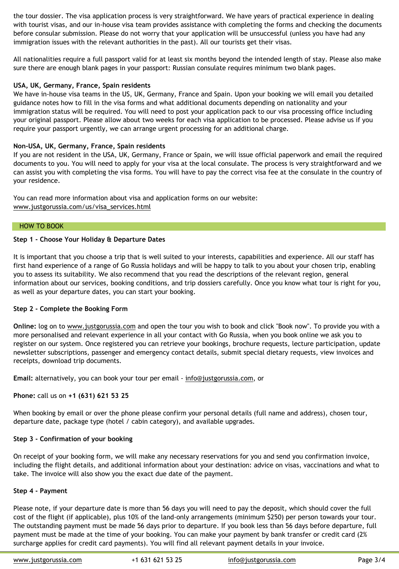You can read more information about visa and application forms on our website: www.justgorussia.com/us/visa\_services.html

#### HOW TO BOOK

# **Step 1 - Choose Your Holiday & Departure Dates**

It is important that you choose a trip that is well suited to your interests, capabilities and ex first hand experience of a range of Go Russia holidays and will be happy to talk to you about you to assess its suitability. We also recommend that you read the descriptions of the relevant information about our services, booking conditions, and trip dossiers carefully. Once you know as well as your departure dates, you can start your booking.

# **Step 2 - Complete the Booking Form**

**Online:** log on to www.justgorussia.com and open the tour you wish to book and click "Book more personalised and relevant experience in all your contact with Go Russia, when you book register on our system. Once registered you can retrieve your bookings, brochure requests, let newsletter subscriptions, passenger and emergency contact details, submit special dietary re receipts, download trip documents.

**Email:** alternatively, you can book your tour per email - info@justgorussia.com, or

**Phone:** call us on **[+1 \(631\) 621 53 25](http://www.justgorussia.com/us/visa_services.html)**

When booking by email or over the phone please confirm your personal details (full name and address) departure date, package type (hotel / cabin category), and available upgrades.

#### **Step 3 - Confirmation of your booking**

On receipt of your booking form, we will make any necessary reservations for you and send y including the flight details, and additional information about your destination: advice on visa take. The invoice will also show you the exact due date of the payment.

#### **Step 4 - Payment**

Please note, if your departure date is more than 56 days you will need to pay the deposit, where cost of the flight [\(if applicable\), plus 10%](https://www.justgorussia.com/us/quick_trip_finder.html) of the land-only arrangements (minimum \$250) per The outstanding payment must be made 56 days prior to departure. If you book less than 56 payment must be made at the time of your booking. You can make your payment by bank transfer or credit card (2 surcharge applies for credit card payments). You will find all relevant payment details in you

www.justgorussia.com +1 631 621 53 25 [info@jus](mailto:info@justgorussia.com)tgorussia.com Page 3/4